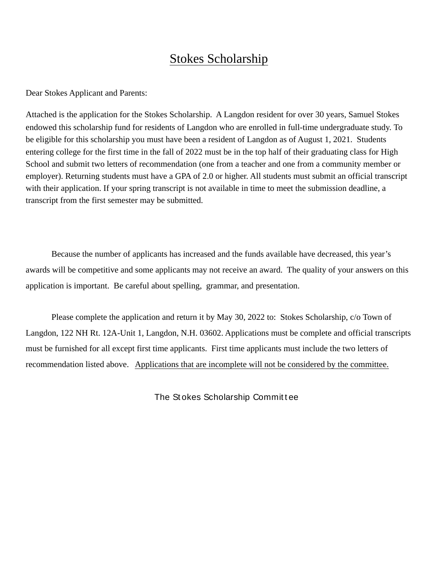## **Stokes Scholarship**

Dear Stokes Applicant and Parents:

Attached is the application for the Stokes Scholarship. A Langdon resident for over 30 years, Samuel Stokes endowed this scholarship fund for residents of Langdon who are enrolled in full-time undergraduate study. To be eligible for this scholarship you must have been a resident of Langdon as of August 1, 2021. Students entering college for the first time in the fall of 2022 must be in the top half of their graduating class for High School and submit two letters of recommendation (one from a teacher and one from a community member or employer). Returning students must have a GPA of 2.0 or higher. All students must submit an official transcript with their application. If your spring transcript is not available in time to meet the submission deadline, a transcript from the first semester may be submitted.

Because the number of applicants has increased and the funds available have decreased, this year's awards will be competitive and some applicants may not receive an award. The quality of your answers on this application is important. Be careful about spelling, grammar, and presentation.

Please complete the application and return it by May 30, 2022 to: Stokes Scholarship, c/o Town of Langdon, 122 NH Rt. 12A-Unit 1, Langdon, N.H. 03602. Applications must be complete and official transcripts must be furnished for all except first time applicants. First time applicants must include the two letters of recommendation listed above. Applications that are incomplete will not be considered by the committee.

The Stokes Scholarship Committee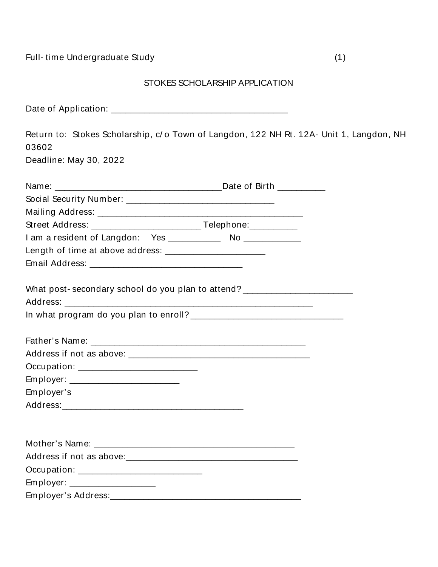## STOKES SCHOLARSHIP APPLICATION

Return to: Stokes Scholarship, c/o Town of Langdon, 122 NH Rt. 12A- Unit 1, Langdon, NH 03602 Deadline: May 30, 2022 Name: **Example 2018** Date of Birth Mailing Address: Mailing Address: Mailing Address: Mail: 2014 Street Address: Telephone: What post-secondary school do you plan to attend? \_\_\_\_\_\_\_\_\_\_\_\_\_\_\_\_\_\_\_\_\_\_\_\_\_\_\_\_\_\_ Occupation: the contract of the contract of the contract of the contract of the contract of the contract of the contract of the contract of the contract of the contract of the contract of the contract of the contract of th Employer: \_\_\_\_\_\_\_\_\_\_\_\_\_\_\_\_\_\_\_\_\_\_\_\_\_\_ Employer's Address: Analysis and the contract of the contract of the contract of the contract of the contract of the contract of the contract of the contract of the contract of the contract of the contract of the contract of the cont Address if not as above: Address if not as above: Employer: \_\_\_\_\_\_\_\_\_\_\_\_\_\_\_\_\_\_\_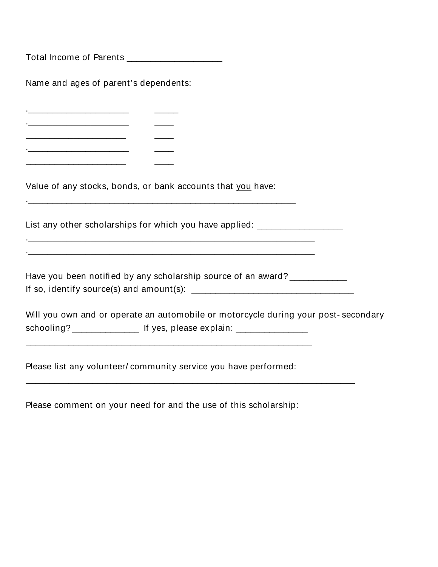Total Income of Parents \_\_\_\_\_\_\_\_\_\_\_\_\_\_\_\_\_\_\_\_\_

Name and ages of parent's dependents:

<u>Contract the contract of the contract of the contract of the contract of the contract of the contract of the contract of the contract of the contract of the contract of the contract of the contract of the contract of the </u>  $\sim$  0.000  $\sim$ 

<u> 1989 - Johann Barn, mars ann an t-Amhair an t-Amhair an t-Amhair an t-Amhair an t-Amhair an t-Amhair an t-Amh</u>

<u> 1999 - Jan Jawa</u>

Value of any stocks, bonds, or bank accounts that you have:

List any other scholarships for which you have applied: \_\_\_\_\_\_\_\_\_\_\_\_\_\_\_\_\_\_\_

Have you been notified by any scholarship source of an award? 

Will you own and or operate an automobile or motorcycle during your post-secondary schooling? \_\_\_\_\_\_\_\_\_\_\_\_\_\_\_\_\_\_ If yes, please explain: \_\_\_\_\_\_\_\_\_\_\_\_\_\_\_\_\_\_

Please list any volunteer/community service you have performed:

Please comment on your need for and the use of this scholarship: